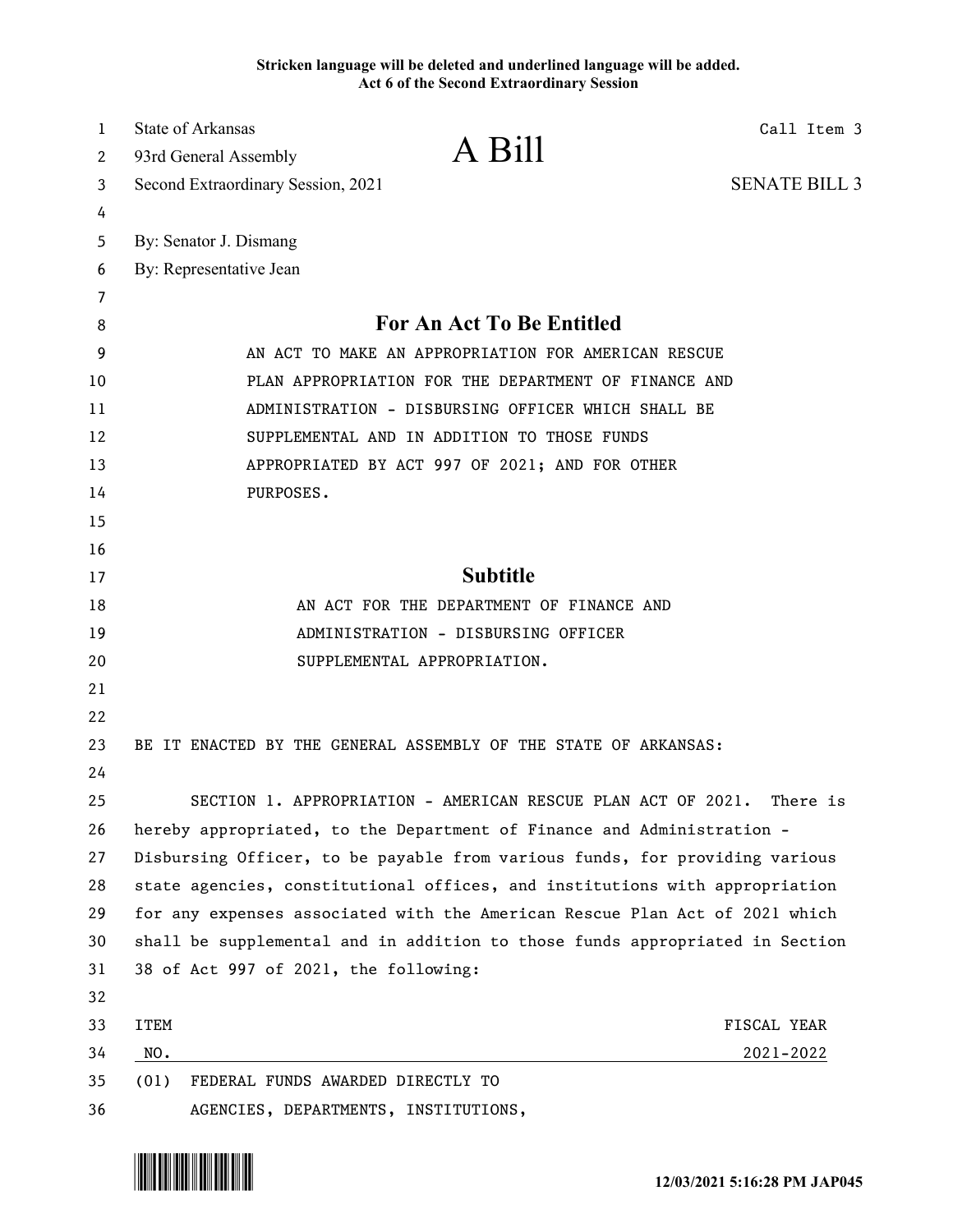**Stricken language will be deleted and underlined language will be added. Act 6 of the Second Extraordinary Session**

| $\mathbf{1}$<br>2 | <b>State of Arkansas</b><br>93rd General Assembly                            | A Bill                                                                 | Call Item 3          |
|-------------------|------------------------------------------------------------------------------|------------------------------------------------------------------------|----------------------|
| 3                 | Second Extraordinary Session, 2021                                           |                                                                        | <b>SENATE BILL 3</b> |
| 4                 |                                                                              |                                                                        |                      |
| 5                 | By: Senator J. Dismang                                                       |                                                                        |                      |
| 6                 | By: Representative Jean                                                      |                                                                        |                      |
| 7                 |                                                                              |                                                                        |                      |
| 8                 |                                                                              | For An Act To Be Entitled                                              |                      |
| 9                 | AN ACT TO MAKE AN APPROPRIATION FOR AMERICAN RESCUE                          |                                                                        |                      |
| 10                | PLAN APPROPRIATION FOR THE DEPARTMENT OF FINANCE AND                         |                                                                        |                      |
| 11                | ADMINISTRATION - DISBURSING OFFICER WHICH SHALL BE                           |                                                                        |                      |
| 12                |                                                                              | SUPPLEMENTAL AND IN ADDITION TO THOSE FUNDS                            |                      |
| 13                |                                                                              | APPROPRIATED BY ACT 997 OF 2021; AND FOR OTHER                         |                      |
| 14                | PURPOSES.                                                                    |                                                                        |                      |
| 15                |                                                                              |                                                                        |                      |
| 16                |                                                                              |                                                                        |                      |
| 17                | <b>Subtitle</b>                                                              |                                                                        |                      |
| 18                | AN ACT FOR THE DEPARTMENT OF FINANCE AND                                     |                                                                        |                      |
| 19                | ADMINISTRATION - DISBURSING OFFICER                                          |                                                                        |                      |
| 20                |                                                                              | SUPPLEMENTAL APPROPRIATION.                                            |                      |
| 21                |                                                                              |                                                                        |                      |
| 22                |                                                                              |                                                                        |                      |
| 23                |                                                                              | BE IT ENACTED BY THE GENERAL ASSEMBLY OF THE STATE OF ARKANSAS:        |                      |
| 24                |                                                                              |                                                                        |                      |
| 25                |                                                                              | SECTION 1. APPROPRIATION - AMERICAN RESCUE PLAN ACT OF 2021. There is  |                      |
| 26                |                                                                              | hereby appropriated, to the Department of Finance and Administration - |                      |
| 27                | Disbursing Officer, to be payable from various funds, for providing various  |                                                                        |                      |
| 28                | state agencies, constitutional offices, and institutions with appropriation  |                                                                        |                      |
| 29                | for any expenses associated with the American Rescue Plan Act of 2021 which  |                                                                        |                      |
| 30                | shall be supplemental and in addition to those funds appropriated in Section |                                                                        |                      |
| 31<br>32          | 38 of Act 997 of 2021, the following:                                        |                                                                        |                      |
| 33                | <b>ITEM</b>                                                                  |                                                                        | FISCAL YEAR          |
| 34                | NO.                                                                          |                                                                        | $2021 - 2022$        |
| 35                | FEDERAL FUNDS AWARDED DIRECTLY TO<br>(01)                                    |                                                                        |                      |
| 36                |                                                                              | AGENCIES, DEPARTMENTS, INSTITUTIONS,                                   |                      |

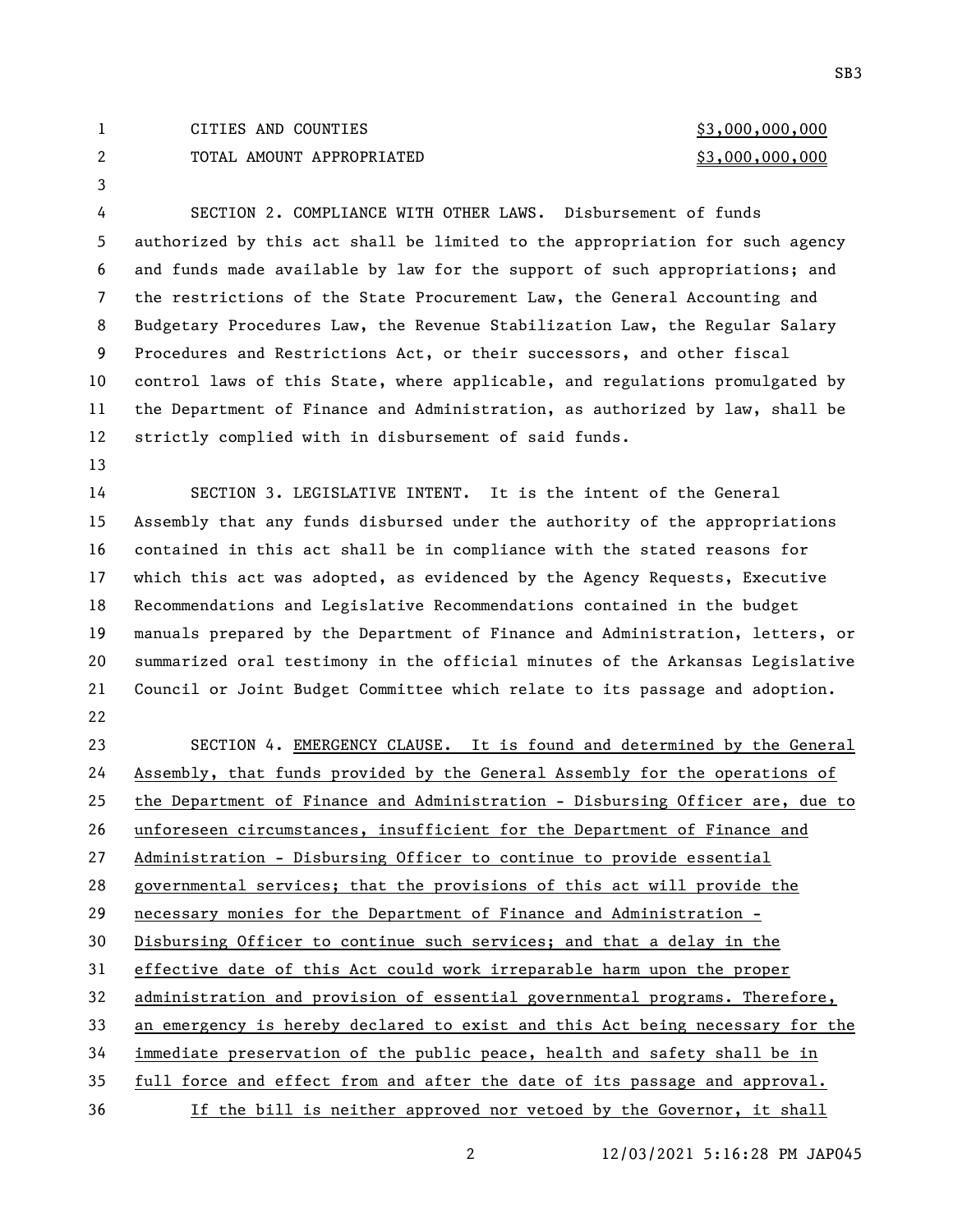## 1 CITIES AND COUNTIES 63,000,000,000 2 TOTAL AMOUNT APPROPRIATED \$3,000,000,000

 SECTION 2. COMPLIANCE WITH OTHER LAWS. Disbursement of funds authorized by this act shall be limited to the appropriation for such agency and funds made available by law for the support of such appropriations; and the restrictions of the State Procurement Law, the General Accounting and Budgetary Procedures Law, the Revenue Stabilization Law, the Regular Salary Procedures and Restrictions Act, or their successors, and other fiscal control laws of this State, where applicable, and regulations promulgated by the Department of Finance and Administration, as authorized by law, shall be strictly complied with in disbursement of said funds.

 SECTION 3. LEGISLATIVE INTENT. It is the intent of the General Assembly that any funds disbursed under the authority of the appropriations contained in this act shall be in compliance with the stated reasons for which this act was adopted, as evidenced by the Agency Requests, Executive Recommendations and Legislative Recommendations contained in the budget manuals prepared by the Department of Finance and Administration, letters, or summarized oral testimony in the official minutes of the Arkansas Legislative Council or Joint Budget Committee which relate to its passage and adoption. 

 SECTION 4. EMERGENCY CLAUSE. It is found and determined by the General Assembly, that funds provided by the General Assembly for the operations of the Department of Finance and Administration - Disbursing Officer are, due to unforeseen circumstances, insufficient for the Department of Finance and Administration - Disbursing Officer to continue to provide essential governmental services; that the provisions of this act will provide the necessary monies for the Department of Finance and Administration - Disbursing Officer to continue such services; and that a delay in the effective date of this Act could work irreparable harm upon the proper administration and provision of essential governmental programs. Therefore, an emergency is hereby declared to exist and this Act being necessary for the immediate preservation of the public peace, health and safety shall be in full force and effect from and after the date of its passage and approval. If the bill is neither approved nor vetoed by the Governor, it shall